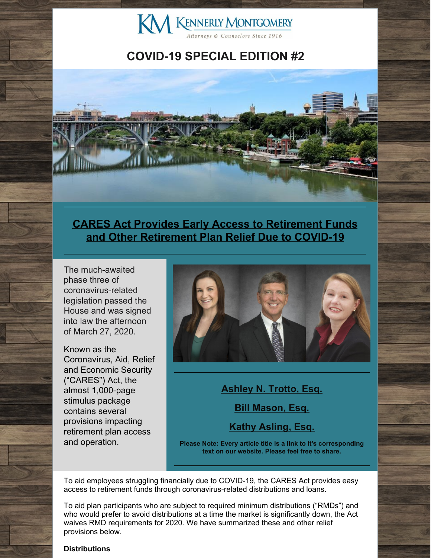

### **COVID-19 SPECIAL EDITION #2**



### **CARES Act Provides Early Access to Retirement Funds and Other [Retirement](http://www.kmfpc.com/Articles/cares_act_provides_early_access_to_retirement_funds_and_other_retirement_plan_relief.aspx) Plan Relief Due to COVID-19**

The much-awaited phase three of coronavirus-related legislation passed the House and was signed into law the afternoon of March 27, 2020.

Known as the Coronavirus, Aid, Relief and Economic Security ("CARES") Act, the almost 1,000-page stimulus package contains several provisions impacting retirement plan access and operation.



**[Ashley](http://www.kmfpc.com/attorneys/ashley_n_trotto.aspx) N. Trotto, Esq. Bill [Mason,](http://www.kmfpc.com/attorneys/bill_mason.aspx) Esq. Kathy [Asling,](http://www.kmfpc.com/attorneys/kathy_d_aslinger.aspx) Esq.**

**Please Note: Every article title is a link to it's corresponding text on our website. Please feel free to share.**

To aid employees struggling financially due to COVID-19, the CARES Act provides easy access to retirement funds through coronavirus-related distributions and loans.

To aid plan participants who are subject to required minimum distributions ("RMDs") and who would prefer to avoid distributions at a time the market is significantly down, the Act waives RMD requirements for 2020. We have summarized these and other relief provisions below.

#### **Distributions**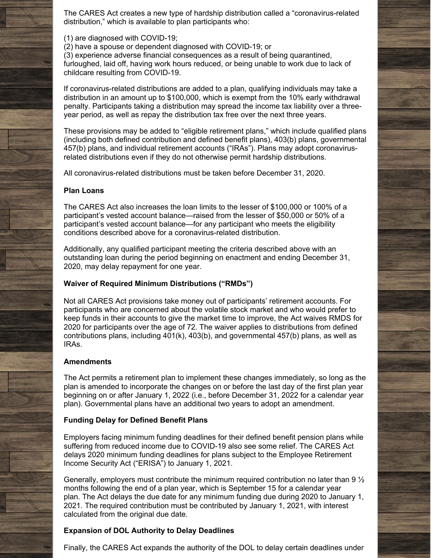The CARES Act creates a new type of hardship distribution called a "coronavirus-related distribution," which is available to plan participants who:

(1) are diagnosed with COVID-19;

(2) have a spouse or dependent diagnosed with COVID-19; or

(3) experience adverse financial consequences as a result of being quarantined, furloughed, laid off, having work hours reduced, or being unable to work due to lack of childcare resulting from COVID-19.

If coronavirus-related distributions are added to a plan, qualifying individuals may take a distribution in an amount up to \$100,000, which is exempt from the 10% early withdrawal penalty. Participants taking a distribution may spread the income tax liability over a threeyear period, as well as repay the distribution tax free over the next three years.

These provisions may be added to "eligible retirement plans," which include qualified plans (including both defined contribution and defined benefit plans), 403(b) plans, governmental 457(b) plans, and individual retirement accounts ("IRAs"). Plans may adopt coronavirusrelated distributions even if they do not otherwise permit hardship distributions.

All coronavirus-related distributions must be taken before December 31, 2020.

#### **Plan Loans**

The CARES Act also increases the loan limits to the lesser of \$100,000 or 100% of a participant's vested account balance—raised from the lesser of \$50,000 or 50% of a participant's vested account balance—for any participant who meets the eligibility conditions described above for a coronavirus-related distribution.

Additionally, any qualified participant meeting the criteria described above with an outstanding loan during the period beginning on enactment and ending December 31, 2020, may delay repayment for one year.

#### **Waiver of Required Minimum Distributions ("RMDs")**

Not all CARES Act provisions take money out of participants' retirement accounts. For participants who are concerned about the volatile stock market and who would prefer to keep funds in their accounts to give the market time to improve, the Act waives RMDS for 2020 for participants over the age of 72. The waiver applies to distributions from defined contributions plans, including 401(k), 403(b), and governmental 457(b) plans, as well as IRAs.

#### **Amendments**

The Act permits a retirement plan to implement these changes immediately, so long as the plan is amended to incorporate the changes on or before the last day of the first plan year beginning on or after January 1, 2022 (i.e., before December 31, 2022 for a calendar year plan). Governmental plans have an additional two years to adopt an amendment.

#### **Funding Delay for Defined Benefit Plans**

Employers facing minimum funding deadlines for their defined benefit pension plans while suffering from reduced income due to COVID-19 also see some relief. The CARES Act delays 2020 minimum funding deadlines for plans subject to the Employee Retirement Income Security Act ("ERISA") to January 1, 2021.

Generally, employers must contribute the minimum required contribution no later than  $9\frac{1}{2}$ months following the end of a plan year, which is September 15 for a calendar year plan. The Act delays the due date for any minimum funding due during 2020 to January 1, 2021. The required contribution must be contributed by January 1, 2021, with interest calculated from the original due date.

#### **Expansion of DOL Authority to Delay Deadlines**

Finally, the CARES Act expands the authority of the DOL to delay certain deadlines under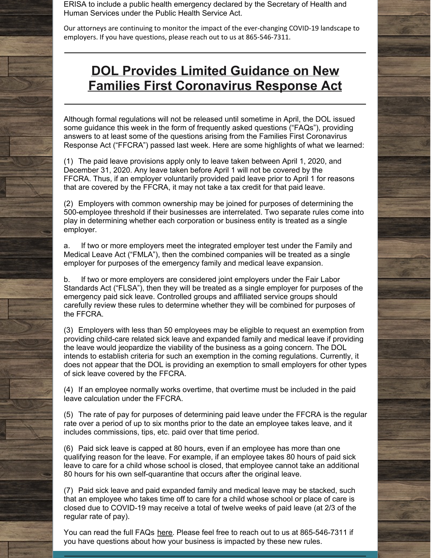ERISA to include a public health emergency declared by the Secretary of Health and Human Services under the Public Health Service Act.

Our attorneys are continuing to monitor the impact of the ever-changing COVID-19 landscape to employers. If you have questions, please reach out to us at 865-546-7311.

# **DOL Provides Limited Guidance on New Families First [Coronavirus](http://www.kmfpc.com/Articles/dol_provides_limited_guidance_on_new_families_first_coronavirus_response_act.aspx) Response Act**

Although formal regulations will not be released until sometime in April, the DOL issued some guidance this week in the form of frequently asked questions ("FAQs"), providing answers to at least some of the questions arising from the Families First Coronavirus Response Act ("FFCRA") passed last week. Here are some highlights of what we learned:

(1) The paid leave provisions apply only to leave taken between April 1, 2020, and December 31, 2020. Any leave taken before April 1 will not be covered by the FFCRA. Thus, if an employer voluntarily provided paid leave prior to April 1 for reasons that are covered by the FFCRA, it may not take a tax credit for that paid leave.

(2) Employers with common ownership may be joined for purposes of determining the 500-employee threshold if their businesses are interrelated. Two separate rules come into play in determining whether each corporation or business entity is treated as a single employer.

a. If two or more employers meet the integrated employer test under the Family and Medical Leave Act ("FMLA"), then the combined companies will be treated as a single employer for purposes of the emergency family and medical leave expansion.

b. If two or more employers are considered joint employers under the Fair Labor Standards Act ("FLSA"), then they will be treated as a single employer for purposes of the emergency paid sick leave. Controlled groups and affiliated service groups should carefully review these rules to determine whether they will be combined for purposes of the FFCRA.

(3) Employers with less than 50 employees may be eligible to request an exemption from providing child-care related sick leave and expanded family and medical leave if providing the leave would jeopardize the viability of the business as a going concern. The DOL intends to establish criteria for such an exemption in the coming regulations. Currently, it does not appear that the DOL is providing an exemption to small employers for other types of sick leave covered by the FFCRA.

(4) If an employee normally works overtime, that overtime must be included in the paid leave calculation under the FFCRA.

(5) The rate of pay for purposes of determining paid leave under the FFCRA is the regular rate over a period of up to six months prior to the date an employee takes leave, and it includes commissions, tips, etc. paid over that time period.

(6) Paid sick leave is capped at 80 hours, even if an employee has more than one qualifying reason for the leave. For example, if an employee takes 80 hours of paid sick leave to care for a child whose school is closed, that employee cannot take an additional 80 hours for his own self-quarantine that occurs after the original leave.

(7) Paid sick leave and paid expanded family and medical leave may be stacked, such that an employee who takes time off to care for a child whose school or place of care is closed due to COVID-19 may receive a total of twelve weeks of paid leave (at 2/3 of the regular rate of pay).

You can read the full FAQs [here](https://www.dol.gov/agencies/whd/pandemic/ffcra-questions). Please feel free to reach out to us at 865-546-7311 if you have questions about how your business is impacted by these new rules.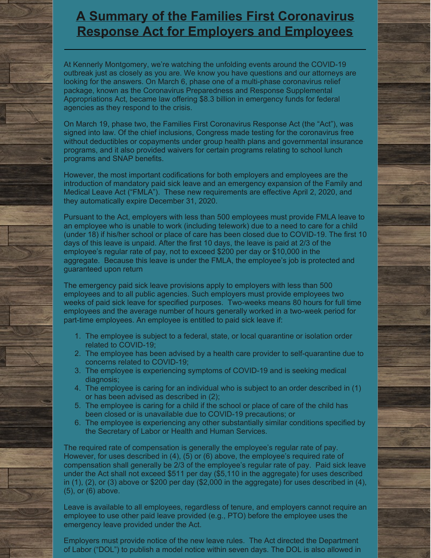### **A Summary of the Families First [Coronavirus](http://www.kmfpc.com/Articles/a_summary_of_the_family_first_coronavirus_response_act_for_employers_and_employees.aspx) Response Act for Employers and Employees**

At Kennerly Montgomery, we're watching the unfolding events around the COVID-19 outbreak just as closely as you are. We know you have questions and our attorneys are looking for the answers. On March 6, phase one of a multi-phase coronavirus relief package, known as the Coronavirus Preparedness and Response Supplemental Appropriations Act, became law offering \$8.3 billion in emergency funds for federal agencies as they respond to the crisis.

On March 19, phase two, the Families First Coronavirus Response Act (the "Act"), was signed into law. Of the chief inclusions, Congress made testing for the coronavirus free without deductibles or copayments under group health plans and governmental insurance programs, and it also provided waivers for certain programs relating to school lunch programs and SNAP benefits.

However, the most important codifications for both employers and employees are the introduction of mandatory paid sick leave and an emergency expansion of the Family and Medical Leave Act ("FMLA"). These new requirements are effective April 2, 2020, and they automatically expire December 31, 2020.

Pursuant to the Act, employers with less than 500 employees must provide FMLA leave to an employee who is unable to work (including telework) due to a need to care for a child (under 18) if his/her school or place of care has been closed due to COVID-19. The first 10 days of this leave is unpaid. After the first 10 days, the leave is paid at 2/3 of the employee's regular rate of pay, not to exceed \$200 per day or \$10,000 in the aggregate. Because this leave is under the FMLA, the employee's job is protected and guaranteed upon return

The emergency paid sick leave provisions apply to employers with less than 500 employees and to all public agencies. Such employers must provide employees two weeks of paid sick leave for specified purposes. Two-weeks means 80 hours for full time employees and the average number of hours generally worked in a two-week period for part-time employees. An employee is entitled to paid sick leave if:

- 1. The employee is subject to a federal, state, or local quarantine or isolation order related to COVID-19;
- 2. The employee has been advised by a health care provider to self-quarantine due to concerns related to COVID-19;
- 3. The employee is experiencing symptoms of COVID-19 and is seeking medical diagnosis;
- 4. The employee is caring for an individual who is subject to an order described in (1) or has been advised as described in (2);
- 5. The employee is caring for a child if the school or place of care of the child has been closed or is unavailable due to COVID-19 precautions; or
- 6. The employee is experiencing any other substantially similar conditions specified by the Secretary of Labor or Health and Human Services.

The required rate of compensation is generally the employee's regular rate of pay. However, for uses described in (4), (5) or (6) above, the employee's required rate of compensation shall generally be 2/3 of the employee's regular rate of pay. Paid sick leave under the Act shall not exceed \$511 per day (\$5,110 in the aggregate) for uses described in  $(1)$ ,  $(2)$ , or  $(3)$  above or \$200 per day  $(\$2,000$  in the aggregate) for uses described in  $(4)$ , (5), or (6) above.

Leave is available to all employees, regardless of tenure, and employers cannot require an employee to use other paid leave provided (e.g., PTO) before the employee uses the emergency leave provided under the Act.

Employers must provide notice of the new leave rules. The Act directed the Department of Labor ("DOL") to publish a model notice within seven days. The DOL is also allowed in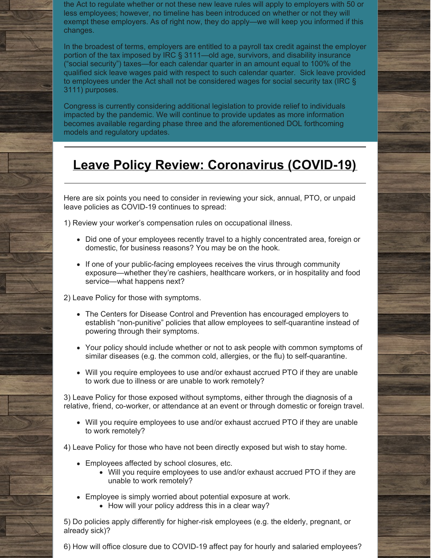the Act to regulate whether or not these new leave rules will apply to employers with 50 or less employees; however, no timeline has been introduced on whether or not they will exempt these employers. As of right now, they do apply—we will keep you informed if this changes.

In the broadest of terms, employers are entitled to a payroll tax credit against the employer portion of the tax imposed by IRC § 3111—old age, survivors, and disability insurance ("social security") taxes—for each calendar quarter in an amount equal to 100% of the qualified sick leave wages paid with respect to such calendar quarter. Sick leave provided to employees under the Act shall not be considered wages for social security tax (IRC § 3111) purposes.

Congress is currently considering additional legislation to provide relief to individuals impacted by the pandemic. We will continue to provide updates as more information becomes available regarding phase three and the aforementioned DOL forthcoming models and regulatory updates.

## **Leave Policy Review: [Coronavirus](http://www.kmfpc.com/Articles/leave_policy_review_coronavirus_covid-19.aspx) (COVID-19)**

Here are six points you need to consider in reviewing your sick, annual, PTO, or unpaid leave policies as COVID-19 continues to spread:

1) Review your worker's compensation rules on occupational illness.

- Did one of your employees recently travel to a highly concentrated area, foreign or domestic, for business reasons? You may be on the hook.
- If one of your public-facing employees receives the virus through community exposure—whether they're cashiers, healthcare workers, or in hospitality and food service—what happens next?

2) Leave Policy for those with symptoms.

- The Centers for Disease Control and Prevention has encouraged employers to establish "non-punitive" policies that allow employees to self-quarantine instead of powering through their symptoms.
- Your policy should include whether or not to ask people with common symptoms of similar diseases (e.g. the common cold, allergies, or the flu) to self-quarantine.
- Will you require employees to use and/or exhaust accrued PTO if they are unable to work due to illness or are unable to work remotely?

3) Leave Policy for those exposed without symptoms, either through the diagnosis of a relative, friend, co-worker, or attendance at an event or through domestic or foreign travel.

Will you require employees to use and/or exhaust accrued PTO if they are unable to work remotely?

4) Leave Policy for those who have not been directly exposed but wish to stay home.

- Employees affected by school closures, etc.
	- Will you require employees to use and/or exhaust accrued PTO if they are unable to work remotely?
- Employee is simply worried about potential exposure at work.
	- How will your policy address this in a clear way?

5) Do policies apply differently for higher-risk employees (e.g. the elderly, pregnant, or already sick)?

6) How will office closure due to COVID-19 affect pay for hourly and salaried employees?